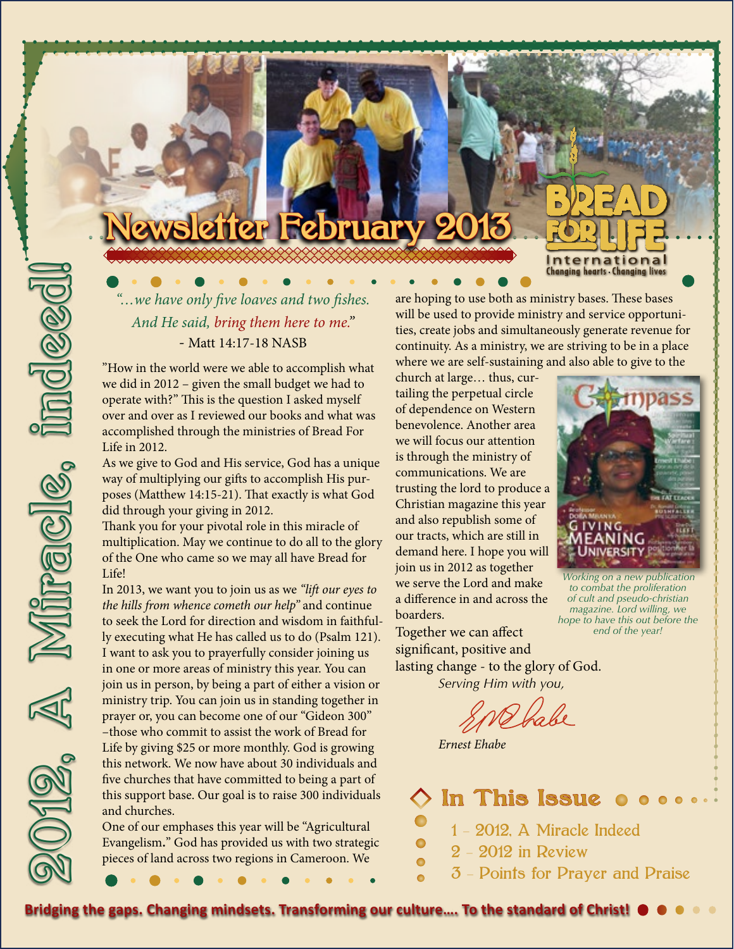# **Mer February**

*"…we have only five loaves and two fishes. And He said, bring them here to me."* - Matt 14:17-18 NASB

"How in the world were we able to accomplish what we did in 2012 – given the small budget we had to operate with?" This is the question I asked myself over and over as I reviewed our books and what was accomplished through the ministries of Bread For Life in 2012.

As we give to God and His service, God has a unique way of multiplying our gifts to accomplish His purposes (Matthew 14:15-21). That exactly is what God did through your giving in 2012.

Thank you for your pivotal role in this miracle of multiplication. May we continue to do all to the glory of the One who came so we may all have Bread for Life!

2012, A Miracle, indeed!

**Miracle** 

10 RQC

In 2013, we want you to join us as we *"lift our eyes to the hills from whence cometh our help"* and continue to seek the Lord for direction and wisdom in faithfully executing what He has called us to do (Psalm 121). I want to ask you to prayerfully consider joining us in one or more areas of ministry this year. You can join us in person, by being a part of either a vision or ministry trip. You can join us in standing together in prayer or, you can become one of our "Gideon 300" –those who commit to assist the work of Bread for Life by giving \$25 or more monthly. God is growing this network. We now have about 30 individuals and five churches that have committed to being a part of this support base. Our goal is to raise 300 individuals and churches.

One of our emphases this year will be "Agricultural Evangelism**.**" God has provided us with two strategic pieces of land across two regions in Cameroon. We

are hoping to use both as ministry bases. These bases will be used to provide ministry and service opportunities, create jobs and simultaneously generate revenue for continuity. As a ministry, we are striving to be in a place where we are self-sustaining and also able to give to the

church at large… thus, curtailing the perpetual circle of dependence on Western benevolence. Another area we will focus our attention is through the ministry of communications. We are trusting the lord to produce a Christian magazine this year and also republish some of our tracts, which are still in demand here. I hope you will join us in 2012 as together we serve the Lord and make a difference in and across the boarders.

<u>International</u> **Changing hearts Changing lives** 

*Working on a new publication to combat the proliferation of cult and pseudo-christian magazine. Lord willing, we hope to have this out before the end of the year!*

Together we can affect significant, positive and lasting change - to the glory of God. *Serving Him with you,*

*Ernest Ehabe*

**In This Issue** 1 - 2012, A Miracle Indeed 2 - 2012 in Review  $\bullet$ 3 - Points for Prayer and Praise

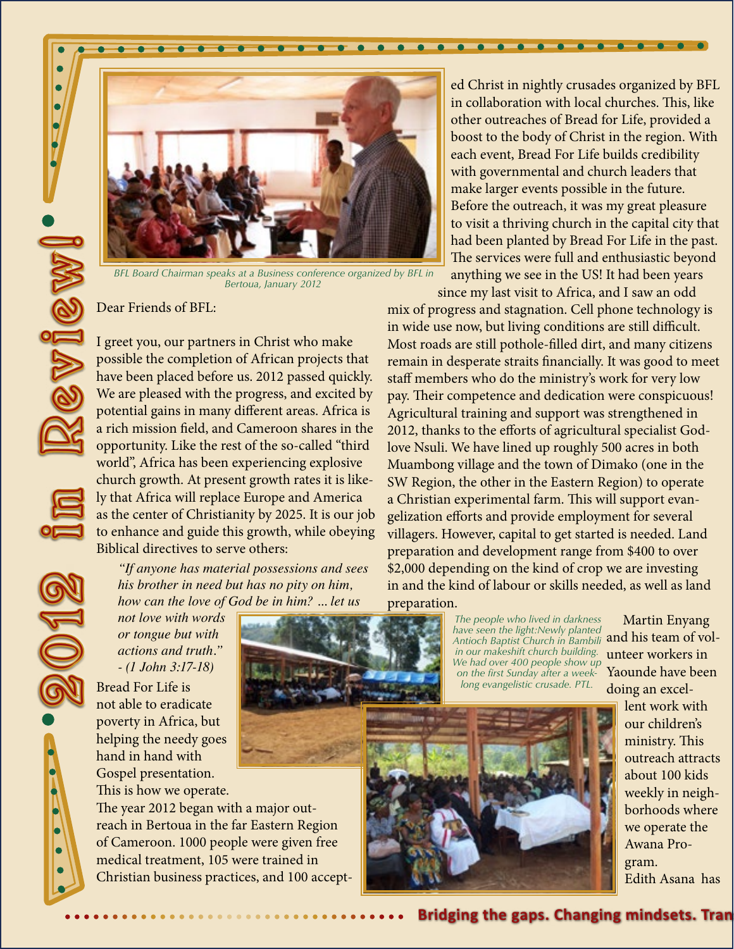

 $\bullet$ 

 $\bullet\bullet\bullet$ 

*BFL Board Chairman speaks at a Business conference organized by BFL in Bertoua, January 2012*

BEL Board Chairman sp<br>
Dear Friends of BFL:<br>
1 greet you, our partr<br>
possible the completit<br>
have been placed bef<br>
We are pleased with the potential gains in ma<br>
a rich mission field, a<br>
a poportunity. Like the<br>
world", Af I greet you, our partners in Christ who make possible the completion of African projects that have been placed before us. 2012 passed quickly. We are pleased with the progress, and excited by potential gains in many different areas. Africa is a rich mission field, and Cameroon shares in the opportunity. Like the rest of the so-called "third world", Africa has been experiencing explosive church growth. At present growth rates it is likely that Africa will replace Europe and America as the center of Christianity by 2025. It is our job to enhance and guide this growth, while obeying Biblical directives to serve others:

*"If anyone has material possessions and sees his brother in need but has no pity on him, how can the love of God be in him? ... let us* 

*not love with words or tongue but with actions and truth." - (1 John 3:17-18)*

Bread For Life is not able to eradicate poverty in Africa, but helping the needy goes hand in hand with Gospel presentation. This is how we operate.

The year 2012 began with a major outreach in Bertoua in the far Eastern Region of Cameroon. 1000 people were given free medical treatment, 105 were trained in Christian business practices, and 100 accept-

preparation. *The people who lived in darkness Antioch Baptist Church in Bambili in our makeshift church building. We had over 400 people show up on the first Sunday after a weeklong evangelistic crusade. PTL.*



ed Christ in nightly crusades organized by BFL in collaboration with local churches. This, like other outreaches of Bread for Life, provided a boost to the body of Christ in the region. With each event, Bread For Life builds credibility with governmental and church leaders that make larger events possible in the future. Before the outreach, it was my great pleasure to visit a thriving church in the capital city that had been planted by Bread For Life in the past. The services were full and enthusiastic beyond anything we see in the US! It had been years

since my last visit to Africa, and I saw an odd

mix of progress and stagnation. Cell phone technology is in wide use now, but living conditions are still difficult. Most roads are still pothole-filled dirt, and many citizens remain in desperate straits financially. It was good to meet staff members who do the ministry's work for very low pay. Their competence and dedication were conspicuous! Agricultural training and support was strengthened in 2012, thanks to the efforts of agricultural specialist Godlove Nsuli. We have lined up roughly 500 acres in both Muambong village and the town of Dimako (one in the SW Region, the other in the Eastern Region) to operate a Christian experimental farm. This will support evangelization efforts and provide employment for several villagers. However, capital to get started is needed. Land preparation and development range from \$400 to over \$2,000 depending on the kind of crop we are investing in and the kind of labour or skills needed, as well as land

> Martin Enyang have seen the light:Newly planted<br>Antioch Baptist Church in Bambili **and his team of vol**unteer workers in Yaounde have been doing an excel-

lent work with our children's ministry. This outreach attracts about 100 kids weekly in neighborhoods where we operate the Awana Program. Edith Asana has

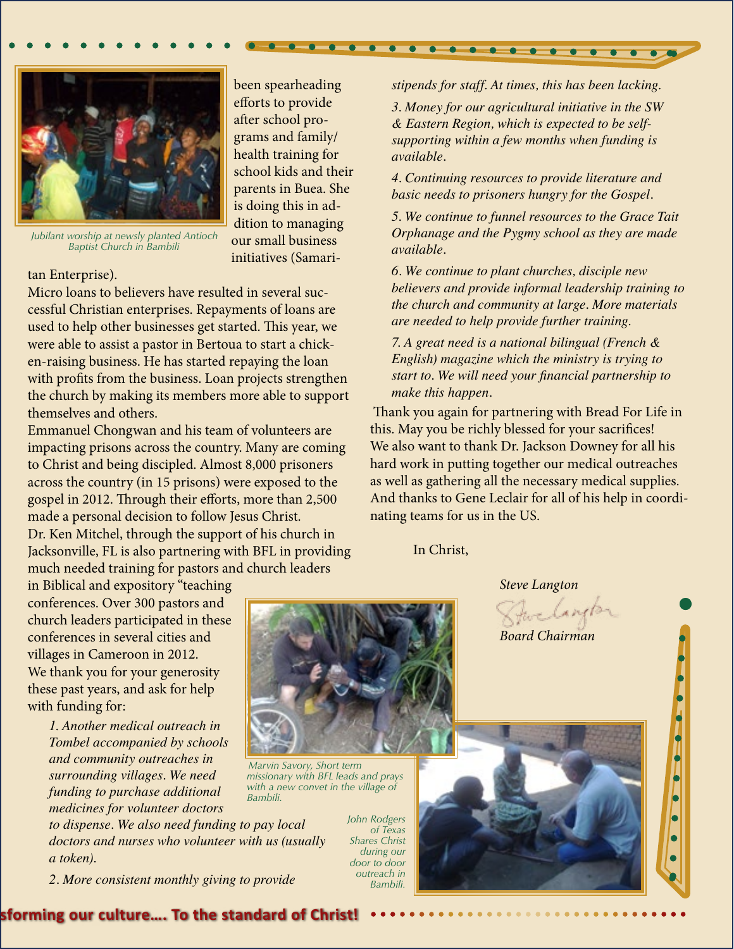

been spearheading efforts to provide after school programs and family/ health training for school kids and their parents in Buea. She is doing this in addition to managing our small business initiatives (Samari-

*Jubilant worship at newsly planted Antioch Baptist Church in Bambili*

#### tan Enterprise).

Micro loans to believers have resulted in several successful Christian enterprises. Repayments of loans are used to help other businesses get started. This year, we were able to assist a pastor in Bertoua to start a chicken-raising business. He has started repaying the loan with profits from the business. Loan projects strengthen the church by making its members more able to support themselves and others.

Emmanuel Chongwan and his team of volunteers are impacting prisons across the country. Many are coming to Christ and being discipled. Almost 8,000 prisoners across the country (in 15 prisons) were exposed to the gospel in 2012. Through their efforts, more than 2,500 made a personal decision to follow Jesus Christ. Dr. Ken Mitchel, through the support of his church in Jacksonville, FL is also partnering with BFL in providing much needed training for pastors and church leaders

in Biblical and expository "teaching conferences. Over 300 pastors and church leaders participated in these conferences in several cities and villages in Cameroon in 2012. We thank you for your generosity these past years, and ask for help with funding for:

*1. Another medical outreach in Tombel accompanied by schools and community outreaches in surrounding villages. We need funding to purchase additional medicines for volunteer doctors* 

*to dispense. We also need funding to pay local doctors and nurses who volunteer with us (usually a token).*

*2. More consistent monthly giving to provide* 

**Bridging the gap our culture.... To the standard of Christ!** 



*Marvin Savory, Short term missionary with BFL leads and prays with a new convet in the village of Bambili.*

*John Rodgers of Texas Shares Christ during our door to door outreach in Bambili.*

*stipends for staff. At times, this has been lacking.*

 $\bullet\hspace{0.4mm}\bullet\hspace{0.4mm}\bullet\hspace{0.4mm}\bullet\hspace{0.4mm}\bullet\hspace{0.4mm}\bullet\hspace{0.4mm}\bullet$ 

*3. Money for our agricultural initiative in the SW & Eastern Region, which is expected to be selfsupporting within a few months when funding is available.*

*4. Continuing resources to provide literature and basic needs to prisoners hungry for the Gospel.*

*5. We continue to funnel resources to the Grace Tait Orphanage and the Pygmy school as they are made available.*

*6. We continue to plant churches, disciple new believers and provide informal leadership training to the church and community at large. More materials are needed to help provide further training.*

*7. A great need is a national bilingual (French & English) magazine which the ministry is trying to start to. We will need your financial partnership to make this happen.* 

 Thank you again for partnering with Bread For Life in this. May you be richly blessed for your sacrifices! We also want to thank Dr. Jackson Downey for all his hard work in putting together our medical outreaches as well as gathering all the necessary medical supplies. And thanks to Gene Leclair for all of his help in coordinating teams for us in the US.

In Christ,

 *Steve Langton Board Chairman*